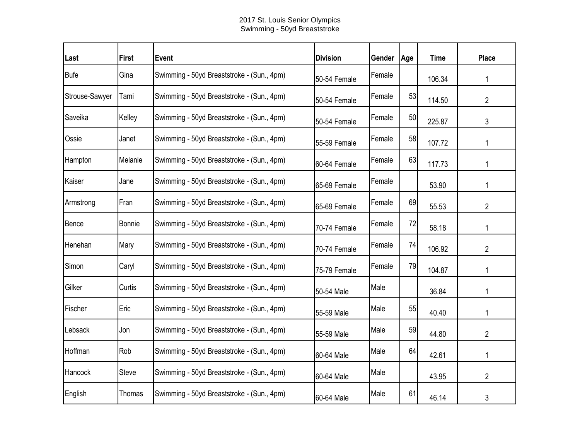## 2017 St. Louis Senior Olympics Swimming - 50yd Breaststroke

| Last           | <b>First</b> | <b>Event</b>                               | <b>Division</b> | Gender | Age | <b>Time</b> | <b>Place</b>   |
|----------------|--------------|--------------------------------------------|-----------------|--------|-----|-------------|----------------|
| Bufe           | Gina         | Swimming - 50yd Breaststroke - (Sun., 4pm) | 50-54 Female    | Female |     | 106.34      | 1              |
| Strouse-Sawyer | Tami         | Swimming - 50yd Breaststroke - (Sun., 4pm) | 50-54 Female    | Female | 53  | 114.50      | 2              |
| Saveika        | Kelley       | Swimming - 50yd Breaststroke - (Sun., 4pm) | 50-54 Female    | Female | 50  | 225.87      | 3              |
| Ossie          | Janet        | Swimming - 50yd Breaststroke - (Sun., 4pm) | 55-59 Female    | Female | 58  | 107.72      | 1              |
| Hampton        | Melanie      | Swimming - 50yd Breaststroke - (Sun., 4pm) | 60-64 Female    | Female | 63  | 117.73      |                |
| Kaiser         | Jane         | Swimming - 50yd Breaststroke - (Sun., 4pm) | 65-69 Female    | Female |     | 53.90       | 1              |
| Armstrong      | Fran         | Swimming - 50yd Breaststroke - (Sun., 4pm) | 65-69 Female    | Female | 69  | 55.53       | $\overline{2}$ |
| Bence          | Bonnie       | Swimming - 50yd Breaststroke - (Sun., 4pm) | 70-74 Female    | Female | 72  | 58.18       | 1              |
| Henehan        | Mary         | Swimming - 50yd Breaststroke - (Sun., 4pm) | 70-74 Female    | Female | 74  | 106.92      | $\overline{2}$ |
| Simon          | Caryl        | Swimming - 50yd Breaststroke - (Sun., 4pm) | 75-79 Female    | Female | 79  | 104.87      |                |
| Gilker         | Curtis       | Swimming - 50yd Breaststroke - (Sun., 4pm) | 50-54 Male      | Male   |     | 36.84       | 1              |
| Fischer        | Eric         | Swimming - 50yd Breaststroke - (Sun., 4pm) | 55-59 Male      | Male   | 55  | 40.40       |                |
| Lebsack        | Jon          | Swimming - 50yd Breaststroke - (Sun., 4pm) | 55-59 Male      | Male   | 59  | 44.80       | 2              |
| Hoffman        | Rob          | Swimming - 50yd Breaststroke - (Sun., 4pm) | 60-64 Male      | Male   | 64  | 42.61       | 1              |
| Hancock        | <b>Steve</b> | Swimming - 50yd Breaststroke - (Sun., 4pm) | 60-64 Male      | Male   |     | 43.95       | $\overline{2}$ |
| English        | Thomas       | Swimming - 50yd Breaststroke - (Sun., 4pm) | 60-64 Male      | Male   | 61  | 46.14       | 3              |